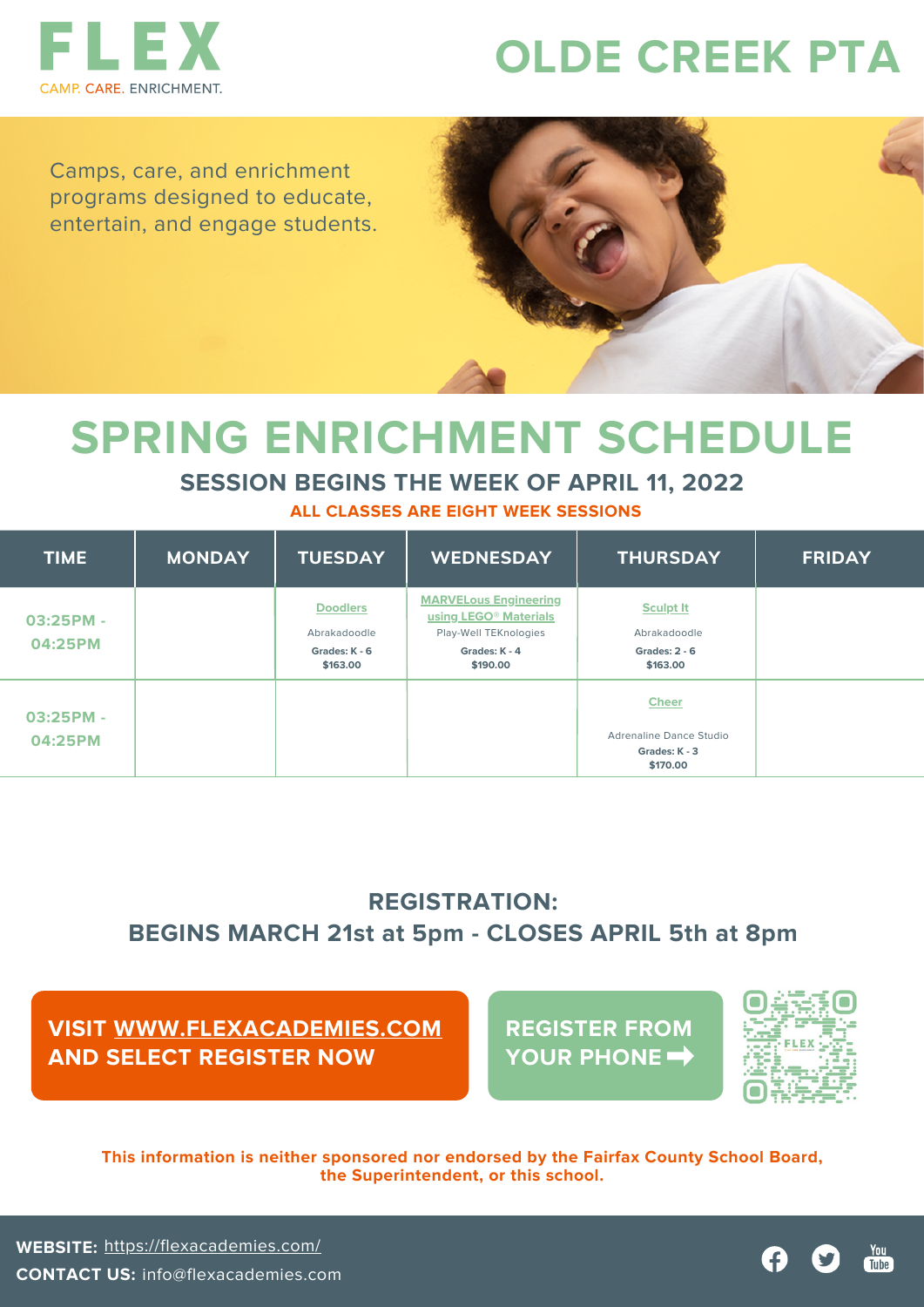

# **OLDE CREEK PTA**

Camps, care, and enrichment programs designed to educate, entertain, and engage students.



## **SPRING ENRICHMENT SCHEDULE**

### **SESSION BEGINS THE WEEK OF APRIL 11, 2022**

**ALL CLASSES ARE EIGHT WEEK SESSIONS**

| <b>TIME</b>          | <b>MONDAY</b> | <b>TUESDAY</b>                                               | <b>WEDNESDAY</b>                                                                                                        | <b>THURSDAY</b>                                                             | <b>FRIDAY</b> |
|----------------------|---------------|--------------------------------------------------------------|-------------------------------------------------------------------------------------------------------------------------|-----------------------------------------------------------------------------|---------------|
| 03:25PM -<br>04:25PM |               | <b>Doodlers</b><br>Abrakadoodle<br>Grades: K - 6<br>\$163.00 | <b>MARVELous Engineering</b><br>using LEGO <sup>®</sup> Materials<br>Play-Well TEKnologies<br>Grades: K - 4<br>\$190.00 | <b>Sculpt It</b><br>Abrakadoodle<br><b>Grades: 2 - 6</b><br>\$163.00        |               |
| 03:25PM -<br>04:25PM |               |                                                              |                                                                                                                         | <b>Cheer</b><br><b>Adrenaline Dance Studio</b><br>Grades: K - 3<br>\$170.00 |               |

## **REGISTRATION: BEGINS MARCH 21st at 5pm - CLOSES APRIL 5th at 8pm**

### **VISIT [WWW.FLEXACADEMIES.COM](http://www.flexacademies.com/) AND SELECT REGISTER NOW**

**REGISTER FROM YOUR PHONE**



**This information is neither sponsored nor endorsed by the Fairfax County School Board, the Superintendent, or this school.**